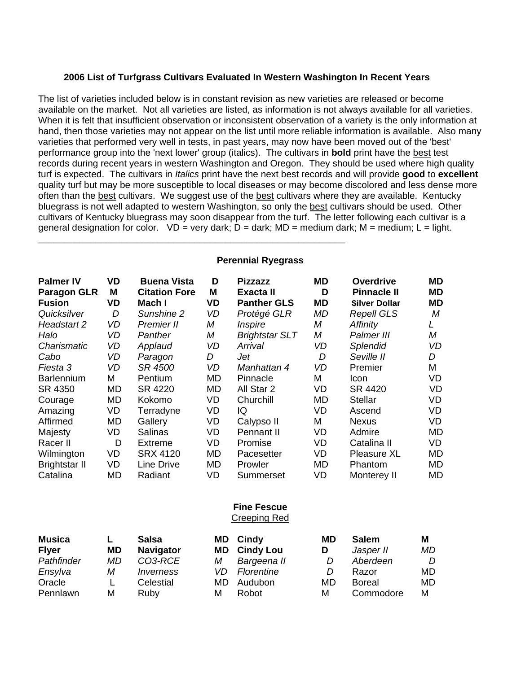## **2006 List of Turfgrass Cultivars Evaluated In Western Washington In Recent Years**

The list of varieties included below is in constant revision as new varieties are released or become available on the market. Not all varieties are listed, as information is not always available for all varieties. When it is felt that insufficient observation or inconsistent observation of a variety is the only information at hand, then those varieties may not appear on the list until more reliable information is available. Also many varieties that performed very well in tests, in past years, may now have been moved out of the 'best' performance group into the 'next lower' group (italics). The cultivars in **bold** print have the best test records during recent years in western Washington and Oregon. They should be used where high quality turf is expected. The cultivars in *Italics* print have the next best records and will provide **good** to **excellent** quality turf but may be more susceptible to local diseases or may become discolored and less dense more often than the best cultivars. We suggest use of the best cultivars where they are available. Kentucky bluegrass is not well adapted to western Washington, so only the best cultivars should be used. Other cultivars of Kentucky bluegrass may soon disappear from the turf. The letter following each cultivar is a general designation for color.  $VD = very$  dark;  $D =$  dark;  $MD =$  medium dark;  $M =$  medium;  $L =$  light.

## **Perennial Ryegrass**

\_\_\_\_\_\_\_\_\_\_\_\_\_\_\_\_\_\_\_\_\_\_\_\_\_\_\_\_\_\_\_\_\_\_\_\_\_\_\_\_\_\_\_\_\_\_\_\_\_\_\_\_\_\_\_\_\_\_\_

| <b>Palmer IV</b>     | VD | <b>Buena Vista</b>   | D  | <b>Pizzazz</b>        | MD | <b>Overdrive</b>            | MD        |
|----------------------|----|----------------------|----|-----------------------|----|-----------------------------|-----------|
| <b>Paragon GLR</b>   | M  | <b>Citation Fore</b> | M  | Exacta II             | D  | <b>Pinnacle II</b>          | ΜD        |
| <b>Fusion</b>        | VD | Mach I               | VD | <b>Panther GLS</b>    | MD | <b><i>Silver Dollar</i></b> | <b>MD</b> |
| Quicksilver          | D  | Sunshine 2           | VD | Protégé GLR           | МD | <b>Repell GLS</b>           | М         |
| Headstart 2          | VD | Premier II           | М  | Inspire               | М  | Affinity                    | L         |
| Halo                 | VD | Panther              | M  | <b>Brightstar SLT</b> | Μ  | Palmer III                  | М         |
| Charismatic          | VD | Applaud              | VD | Arrival               | VD | <b>Splendid</b>             | VD        |
| Cabo                 | VD | Paragon              | D  | Jet                   | D  | Seville II                  | D         |
| Fiesta 3             | VD | SR 4500              | VD | Manhattan 4           | VD | Premier                     | М         |
| <b>Barlennium</b>    | M  | Pentium              | MD | Pinnacle              | M  | Icon                        | VD.       |
| SR 4350              | MD | SR 4220              | MD | All Star 2            | VD | SR 4420                     | VD        |
| Courage              | MD | Kokomo               | VD | Churchill             | MD | <b>Stellar</b>              | VD        |
| Amazing              | VD | Terradyne            | VD | IQ                    | VD | Ascend                      | VD.       |
| Affirmed             | MD | Gallery              | VD | Calypso II            | М  | <b>Nexus</b>                | VD.       |
| Majesty              | VD | <b>Salinas</b>       | VD | <b>Pennant II</b>     | VD | Admire                      | MD        |
| Racer II             | D  | Extreme              | VD | Promise               | VD | Catalina II                 | VD        |
| Wilmington           | VD | <b>SRX 4120</b>      | MD | Pacesetter            | VD | Pleasure XL                 | MD        |
| <b>Brightstar II</b> | VD | Line Drive           | MD | Prowler               | MD | Phantom                     | MD        |
| Catalina             | MD | Radiant              | VD | Summerset             | VD | Monterey II                 | MD        |

## **Fine Fescue**  Creeping Red

| <b>Musica</b> |           | Salsa            | MD. | Cindy            | MD | <b>Salem</b>  | Μ  |
|---------------|-----------|------------------|-----|------------------|----|---------------|----|
| <b>Flyer</b>  | <b>MD</b> | <b>Navigator</b> | MD. | <b>Cindy Lou</b> | D  | Jasper II     | MD |
| Pathfinder    | MD        | CO3-RCE          | М   | Bargeena II      |    | Aberdeen      | D  |
| Ensylva       | Μ         | <i>Inverness</i> | VD. | Florentine       |    | Razor         | MD |
| Oracle        |           | Celestial        | MD. | Audubon          | MD | <b>Boreal</b> | MD |
| Pennlawn      | Μ         | Ruby             | М   | Robot            | М  | Commodore     | M  |